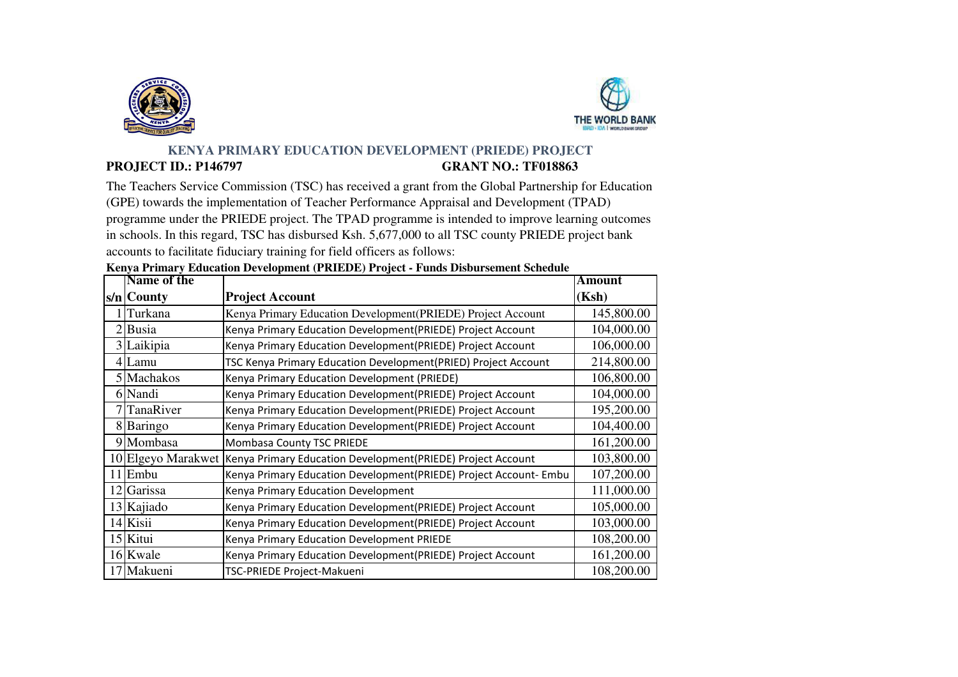



## **KENYA PRIMARY EDUCATION DEVELOPMENT (PRIEDE) PROJECT PROJECT ID.: P146797 GRANT NO.: TF018863**

The Teachers Service Commission (TSC) has received a grant from the Global Partnership for Education (GPE) towards the implementation of Teacher Performance Appraisal and Development (TPAD) programme under the PRIEDE project. The TPAD programme is intended to improve learning outcomes in schools. In this regard, TSC has disbursed Ksh. 5,677,000 to all TSC county PRIEDE project bank accounts to facilitate fiduciary training for field officers as follows:

| Name of the        |                                                                   | <b>Amount</b> |
|--------------------|-------------------------------------------------------------------|---------------|
| $s/n$ County       | <b>Project Account</b>                                            | (Ksh)         |
| Turkana            | Kenya Primary Education Development (PRIEDE) Project Account      | 145,800.00    |
| 2Busia             | Kenya Primary Education Development(PRIEDE) Project Account       | 104,000.00    |
| 3 Laikipia         | Kenya Primary Education Development(PRIEDE) Project Account       | 106,000.00    |
| $4$ Lamu           | TSC Kenya Primary Education Development(PRIED) Project Account    | 214,800.00    |
| 5 Machakos         | Kenya Primary Education Development (PRIEDE)                      | 106,800.00    |
| 6 Nandi            | Kenya Primary Education Development(PRIEDE) Project Account       | 104,000.00    |
| 7 TanaRiver        | Kenya Primary Education Development(PRIEDE) Project Account       | 195,200.00    |
| 8 Baringo          | Kenya Primary Education Development(PRIEDE) Project Account       | 104,400.00    |
| 9 Mombasa          | Mombasa County TSC PRIEDE                                         | 161,200.00    |
| 10 Elgeyo Marakwet | Kenya Primary Education Development(PRIEDE) Project Account       | 103,800.00    |
| 11 Embu            | Kenya Primary Education Development(PRIEDE) Project Account- Embu | 107,200.00    |
| 12 Garissa         | Kenya Primary Education Development                               | 111,000.00    |
| 13 Kajiado         | Kenya Primary Education Development(PRIEDE) Project Account       | 105,000.00    |
| 14 Kisii           | Kenya Primary Education Development(PRIEDE) Project Account       | 103,000.00    |
| 15 Kitui           | Kenya Primary Education Development PRIEDE                        | 108,200.00    |
| 16 Kwale           | Kenya Primary Education Development(PRIEDE) Project Account       | 161,200.00    |
| 17 Makueni         | TSC-PRIEDE Project-Makueni                                        | 108,200.00    |

## **Kenya Primary Education Development (PRIEDE) Project - Funds Disbursement Schedule**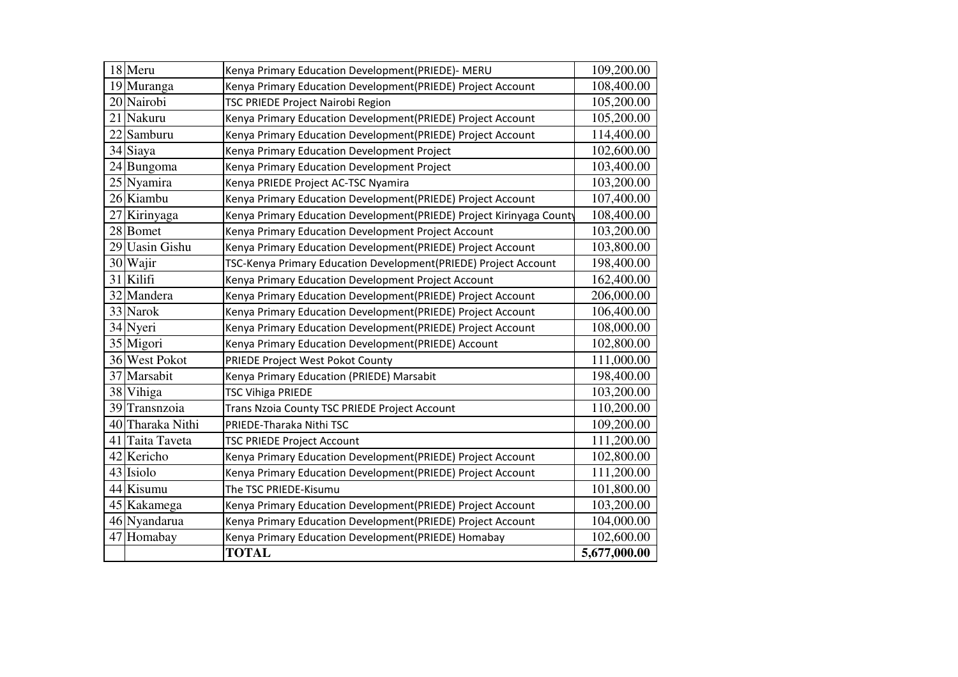|    | 18 Meru          | Kenya Primary Education Development(PRIEDE)- MERU                    | 109,200.00   |
|----|------------------|----------------------------------------------------------------------|--------------|
|    | 19 Muranga       | Kenya Primary Education Development(PRIEDE) Project Account          | 108,400.00   |
|    | 20 Nairobi       | TSC PRIEDE Project Nairobi Region                                    | 105,200.00   |
| 21 | Nakuru           | Kenya Primary Education Development(PRIEDE) Project Account          | 105,200.00   |
|    | 22 Samburu       | Kenya Primary Education Development(PRIEDE) Project Account          | 114,400.00   |
|    | 34 Siaya         | Kenya Primary Education Development Project                          | 102,600.00   |
|    | 24 Bungoma       | Kenya Primary Education Development Project                          | 103,400.00   |
|    | 25 Nyamira       | Kenya PRIEDE Project AC-TSC Nyamira                                  | 103,200.00   |
|    | 26 Kiambu        | Kenya Primary Education Development(PRIEDE) Project Account          | 107,400.00   |
| 27 | Kirinyaga        | Kenya Primary Education Development(PRIEDE) Project Kirinyaga County | 108,400.00   |
|    | 28 Bomet         | Kenya Primary Education Development Project Account                  | 103,200.00   |
|    | 29 Uasin Gishu   | Kenya Primary Education Development(PRIEDE) Project Account          | 103,800.00   |
|    | 30 Wajir         | TSC-Kenya Primary Education Development(PRIEDE) Project Account      | 198,400.00   |
|    | 31 Kilifi        | Kenya Primary Education Development Project Account                  | 162,400.00   |
|    | 32 Mandera       | Kenya Primary Education Development(PRIEDE) Project Account          | 206,000.00   |
|    | 33 Narok         | Kenya Primary Education Development(PRIEDE) Project Account          | 106,400.00   |
|    | 34 Nyeri         | Kenya Primary Education Development(PRIEDE) Project Account          | 108,000.00   |
|    | 35 Migori        | Kenya Primary Education Development(PRIEDE) Account                  | 102,800.00   |
|    | 36 West Pokot    | PRIEDE Project West Pokot County                                     | 111,000.00   |
|    | 37 Marsabit      | Kenya Primary Education (PRIEDE) Marsabit                            | 198,400.00   |
|    | 38 Vihiga        | <b>TSC Vihiga PRIEDE</b>                                             | 103,200.00   |
|    | 39 Transnzoia    | Trans Nzoia County TSC PRIEDE Project Account                        | 110,200.00   |
|    | 40 Tharaka Nithi | PRIEDE-Tharaka Nithi TSC                                             | 109,200.00   |
|    | 41 Taita Taveta  | <b>TSC PRIEDE Project Account</b>                                    | 111,200.00   |
|    | 42 Kericho       | Kenya Primary Education Development(PRIEDE) Project Account          | 102,800.00   |
|    | 43 Isiolo        | Kenya Primary Education Development(PRIEDE) Project Account          | 111,200.00   |
|    | 44 Kisumu        | The TSC PRIEDE-Kisumu                                                | 101,800.00   |
|    | 45 Kakamega      | Kenya Primary Education Development(PRIEDE) Project Account          | 103,200.00   |
|    | 46 Nyandarua     | Kenya Primary Education Development(PRIEDE) Project Account          | 104,000.00   |
|    | 47 Homabay       | Kenya Primary Education Development(PRIEDE) Homabay                  | 102,600.00   |
|    |                  | <b>TOTAL</b>                                                         | 5,677,000.00 |